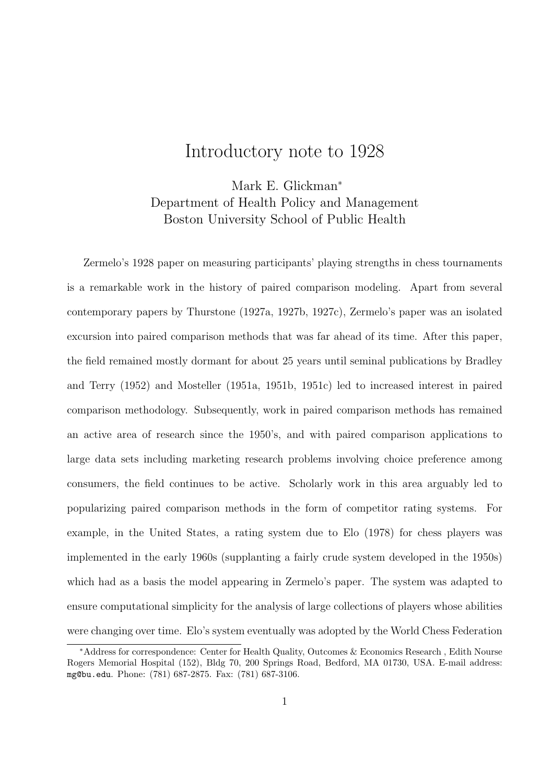## Introductory note to 1928

Mark E. Glickman<sup>∗</sup> Department of Health Policy and Management Boston University School of Public Health

Zermelo's 1928 paper on measuring participants' playing strengths in chess tournaments is a remarkable work in the history of paired comparison modeling. Apart from several contemporary papers by Thurstone (1927a, 1927b, 1927c), Zermelo's paper was an isolated excursion into paired comparison methods that was far ahead of its time. After this paper, the field remained mostly dormant for about 25 years until seminal publications by Bradley and Terry (1952) and Mosteller (1951a, 1951b, 1951c) led to increased interest in paired comparison methodology. Subsequently, work in paired comparison methods has remained an active area of research since the 1950's, and with paired comparison applications to large data sets including marketing research problems involving choice preference among consumers, the field continues to be active. Scholarly work in this area arguably led to popularizing paired comparison methods in the form of competitor rating systems. For example, in the United States, a rating system due to Elo (1978) for chess players was implemented in the early 1960s (supplanting a fairly crude system developed in the 1950s) which had as a basis the model appearing in Zermelo's paper. The system was adapted to ensure computational simplicity for the analysis of large collections of players whose abilities were changing over time. Elo's system eventually was adopted by the World Chess Federation

<sup>∗</sup>Address for correspondence: Center for Health Quality, Outcomes & Economics Research , Edith Nourse Rogers Memorial Hospital (152), Bldg 70, 200 Springs Road, Bedford, MA 01730, USA. E-mail address: mg@bu.edu. Phone: (781) 687-2875. Fax: (781) 687-3106.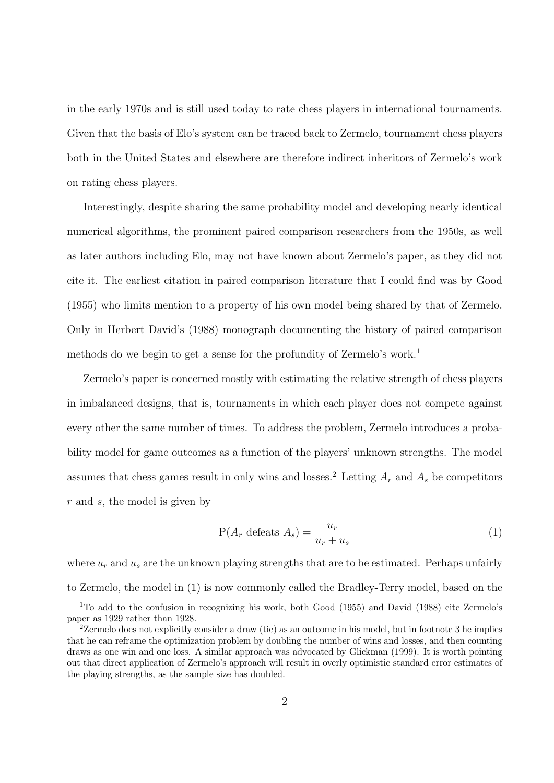in the early 1970s and is still used today to rate chess players in international tournaments. Given that the basis of Elo's system can be traced back to Zermelo, tournament chess players both in the United States and elsewhere are therefore indirect inheritors of Zermelo's work on rating chess players.

Interestingly, despite sharing the same probability model and developing nearly identical numerical algorithms, the prominent paired comparison researchers from the 1950s, as well as later authors including Elo, may not have known about Zermelo's paper, as they did not cite it. The earliest citation in paired comparison literature that I could find was by Good (1955) who limits mention to a property of his own model being shared by that of Zermelo. Only in Herbert David's (1988) monograph documenting the history of paired comparison methods do we begin to get a sense for the profundity of Zermelo's work.<sup>1</sup>

Zermelo's paper is concerned mostly with estimating the relative strength of chess players in imbalanced designs, that is, tournaments in which each player does not compete against every other the same number of times. To address the problem, Zermelo introduces a probability model for game outcomes as a function of the players' unknown strengths. The model assumes that chess games result in only wins and losses.<sup>2</sup> Letting  $A_r$  and  $A_s$  be competitors r and s, the model is given by

$$
P(A_r \text{ defects } A_s) = \frac{u_r}{u_r + u_s} \tag{1}
$$

where  $u_r$  and  $u_s$  are the unknown playing strengths that are to be estimated. Perhaps unfairly to Zermelo, the model in (1) is now commonly called the Bradley-Terry model, based on the

<sup>1</sup>To add to the confusion in recognizing his work, both Good (1955) and David (1988) cite Zermelo's paper as 1929 rather than 1928.

<sup>&</sup>lt;sup>2</sup>Zermelo does not explicitly consider a draw (tie) as an outcome in his model, but in footnote 3 he implies that he can reframe the optimization problem by doubling the number of wins and losses, and then counting draws as one win and one loss. A similar approach was advocated by Glickman (1999). It is worth pointing out that direct application of Zermelo's approach will result in overly optimistic standard error estimates of the playing strengths, as the sample size has doubled.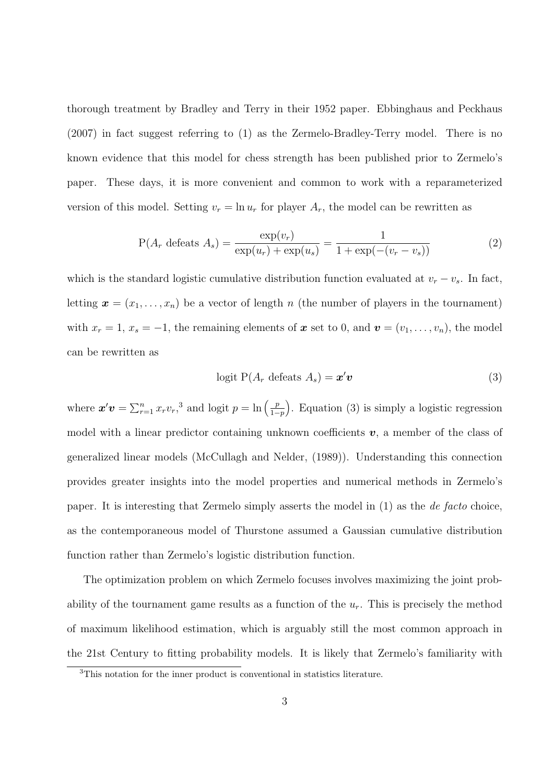thorough treatment by Bradley and Terry in their 1952 paper. Ebbinghaus and Peckhaus (2007) in fact suggest referring to (1) as the Zermelo-Bradley-Terry model. There is no known evidence that this model for chess strength has been published prior to Zermelo's paper. These days, it is more convenient and common to work with a reparameterized version of this model. Setting  $v_r = \ln u_r$  for player  $A_r$ , the model can be rewritten as

$$
P(A_r \text{ defects } A_s) = \frac{\exp(v_r)}{\exp(u_r) + \exp(u_s)} = \frac{1}{1 + \exp(-(v_r - v_s))}
$$
(2)

which is the standard logistic cumulative distribution function evaluated at  $v_r - v_s$ . In fact, letting  $\mathbf{x} = (x_1, \ldots, x_n)$  be a vector of length n (the number of players in the tournament) with  $x_r = 1$ ,  $x_s = -1$ , the remaining elements of  $\boldsymbol{x}$  set to 0, and  $\boldsymbol{v} = (v_1, \ldots, v_n)$ , the model can be rewritten as

$$
logit P(A_r \text{ defects } A_s) = \boldsymbol{x}' \boldsymbol{v}
$$
\n(3)

where  $\mathbf{x}'\mathbf{v} = \sum_{r=1}^{n} x_r v_r^3$  and logit  $p = \ln\left(\frac{p}{1-r}\right)$  $1-p$  . Equation (3) is simply a logistic regression model with a linear predictor containing unknown coefficients  $v$ , a member of the class of generalized linear models (McCullagh and Nelder, (1989)). Understanding this connection provides greater insights into the model properties and numerical methods in Zermelo's paper. It is interesting that Zermelo simply asserts the model in (1) as the de facto choice, as the contemporaneous model of Thurstone assumed a Gaussian cumulative distribution function rather than Zermelo's logistic distribution function.

The optimization problem on which Zermelo focuses involves maximizing the joint probability of the tournament game results as a function of the  $u_r$ . This is precisely the method of maximum likelihood estimation, which is arguably still the most common approach in the 21st Century to fitting probability models. It is likely that Zermelo's familiarity with

<sup>3</sup>This notation for the inner product is conventional in statistics literature.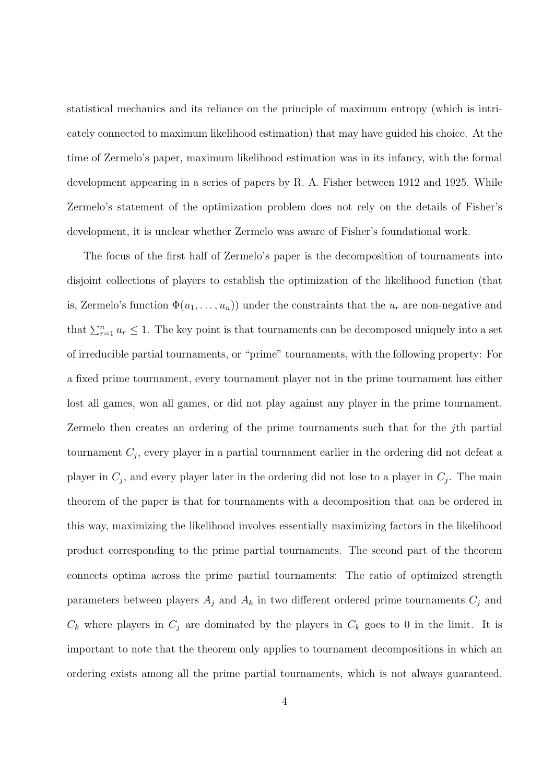statistical mechanics and its reliance on the principle of maximum entropy (which is intricately connected to maximum likelihood estimation) that may have guided his choice. At the time of Zermelo's paper, maximum likelihood estimation was in its infancy, with the formal development appearing in a series of papers by R. A. Fisher between 1912 and 1925. While Zermelo's statement of the optimization problem does not rely on the details of Fisher's development, it is unclear whether Zermelo was aware of Fisher's foundational work.

The focus of the first half of Zermelo's paper is the decomposition of tournaments into disjoint collections of players to establish the optimization of the likelihood function (that is, Zermelo's function  $\Phi(u_1, \ldots, u_n)$  under the constraints that the  $u_r$  are non-negative and that  $\sum_{r=1}^{n} u_r \leq 1$ . The key point is that tournaments can be decomposed uniquely into a set of irreducible partial tournaments, or "prime" tournaments, with the following property: For a fixed prime tournament, every tournament player not in the prime tournament has either lost all games, won all games, or did not play against any player in the prime tournament. Zermelo then creates an ordering of the prime tournaments such that for the jth partial tournament  $C_j$ , every player in a partial tournament earlier in the ordering did not defeat a player in  $C_j$ , and every player later in the ordering did not lose to a player in  $C_j$ . The main theorem of the paper is that for tournaments with a decomposition that can be ordered in this way, maximizing the likelihood involves essentially maximizing factors in the likelihood product corresponding to the prime partial tournaments. The second part of the theorem connects optima across the prime partial tournaments: The ratio of optimized strength parameters between players  $A_j$  and  $A_k$  in two different ordered prime tournaments  $C_j$  and  $C_k$  where players in  $C_j$  are dominated by the players in  $C_k$  goes to 0 in the limit. It is important to note that the theorem only applies to tournament decompositions in which an ordering exists among all the prime partial tournaments, which is not always guaranteed.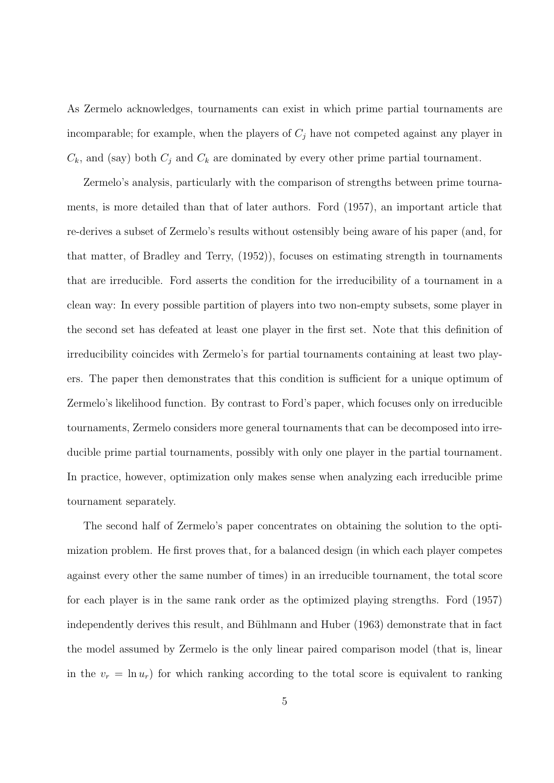As Zermelo acknowledges, tournaments can exist in which prime partial tournaments are incomparable; for example, when the players of  $C_j$  have not competed against any player in  $C_k$ , and (say) both  $C_j$  and  $C_k$  are dominated by every other prime partial tournament.

Zermelo's analysis, particularly with the comparison of strengths between prime tournaments, is more detailed than that of later authors. Ford (1957), an important article that re-derives a subset of Zermelo's results without ostensibly being aware of his paper (and, for that matter, of Bradley and Terry, (1952)), focuses on estimating strength in tournaments that are irreducible. Ford asserts the condition for the irreducibility of a tournament in a clean way: In every possible partition of players into two non-empty subsets, some player in the second set has defeated at least one player in the first set. Note that this definition of irreducibility coincides with Zermelo's for partial tournaments containing at least two players. The paper then demonstrates that this condition is sufficient for a unique optimum of Zermelo's likelihood function. By contrast to Ford's paper, which focuses only on irreducible tournaments, Zermelo considers more general tournaments that can be decomposed into irreducible prime partial tournaments, possibly with only one player in the partial tournament. In practice, however, optimization only makes sense when analyzing each irreducible prime tournament separately.

The second half of Zermelo's paper concentrates on obtaining the solution to the optimization problem. He first proves that, for a balanced design (in which each player competes against every other the same number of times) in an irreducible tournament, the total score for each player is in the same rank order as the optimized playing strengths. Ford (1957) independently derives this result, and Bühlmann and Huber (1963) demonstrate that in fact the model assumed by Zermelo is the only linear paired comparison model (that is, linear in the  $v_r = \ln u_r$ ) for which ranking according to the total score is equivalent to ranking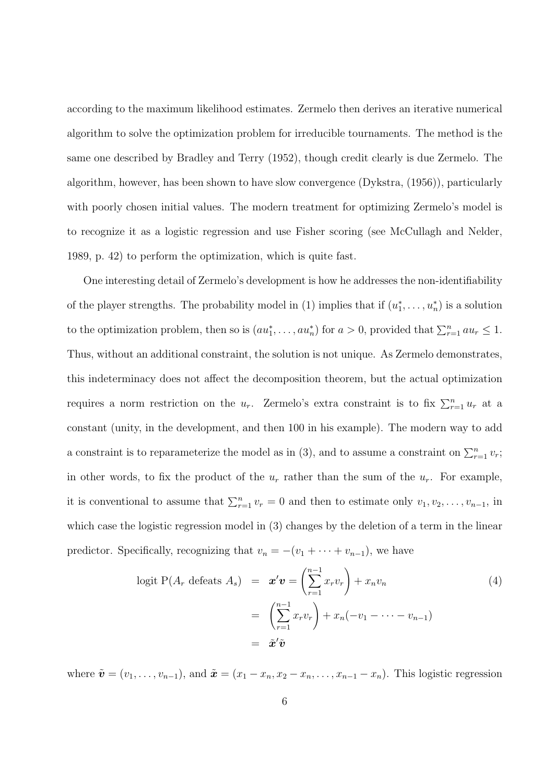according to the maximum likelihood estimates. Zermelo then derives an iterative numerical algorithm to solve the optimization problem for irreducible tournaments. The method is the same one described by Bradley and Terry (1952), though credit clearly is due Zermelo. The algorithm, however, has been shown to have slow convergence (Dykstra, (1956)), particularly with poorly chosen initial values. The modern treatment for optimizing Zermelo's model is to recognize it as a logistic regression and use Fisher scoring (see McCullagh and Nelder, 1989, p. 42) to perform the optimization, which is quite fast.

One interesting detail of Zermelo's development is how he addresses the non-identifiability of the player strengths. The probability model in (1) implies that if  $(u_1^*, \ldots, u_n^*)$  is a solution to the optimization problem, then so is  $(au_1^*, \ldots, au_n^*)$  for  $a > 0$ , provided that  $\sum_{r=1}^n au_r \leq 1$ . Thus, without an additional constraint, the solution is not unique. As Zermelo demonstrates, this indeterminacy does not affect the decomposition theorem, but the actual optimization requires a norm restriction on the  $u_r$ . Zermelo's extra constraint is to fix  $\sum_{r=1}^n u_r$  at a constant (unity, in the development, and then 100 in his example). The modern way to add a constraint is to reparameterize the model as in (3), and to assume a constraint on  $\sum_{r=1}^{n} v_r$ ; in other words, to fix the product of the  $u_r$  rather than the sum of the  $u_r$ . For example, it is conventional to assume that  $\sum_{r=1}^{n} v_r = 0$  and then to estimate only  $v_1, v_2, \ldots, v_{n-1}$ , in which case the logistic regression model in (3) changes by the deletion of a term in the linear predictor. Specifically, recognizing that  $v_n = -(v_1 + \cdots + v_{n-1})$ , we have

$$
\text{logit } P(A_r \text{ defeats } A_s) = \boldsymbol{x}' \boldsymbol{v} = \left( \sum_{r=1}^{n-1} x_r v_r \right) + x_n v_n
$$
\n
$$
= \left( \sum_{r=1}^{n-1} x_r v_r \right) + x_n (-v_1 - \dots - v_{n-1})
$$
\n
$$
= \boldsymbol{\tilde{x}}' \boldsymbol{\tilde{v}}
$$
\n(4)

where  $\tilde{\mathbf{v}} = (v_1, \ldots, v_{n-1}),$  and  $\tilde{\mathbf{x}} = (x_1 - x_n, x_2 - x_n, \ldots, x_{n-1} - x_n).$  This logistic regression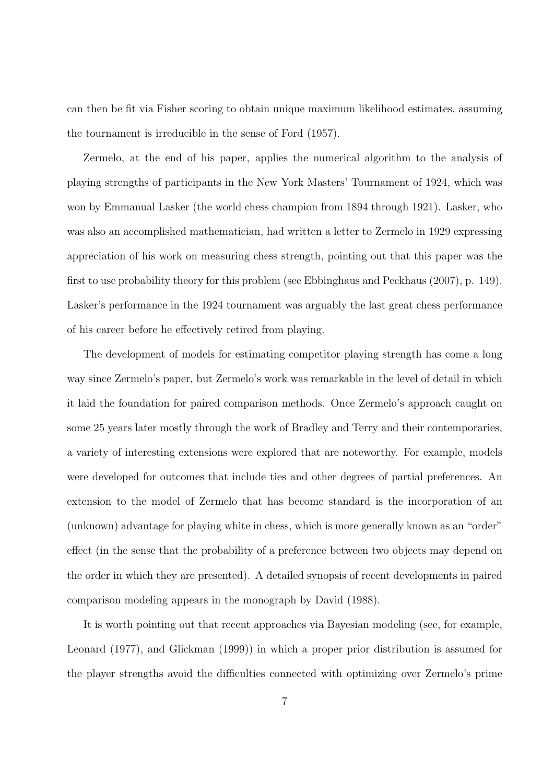can then be fit via Fisher scoring to obtain unique maximum likelihood estimates, assuming the tournament is irreducible in the sense of Ford (1957).

Zermelo, at the end of his paper, applies the numerical algorithm to the analysis of playing strengths of participants in the New York Masters' Tournament of 1924, which was won by Emmanual Lasker (the world chess champion from 1894 through 1921). Lasker, who was also an accomplished mathematician, had written a letter to Zermelo in 1929 expressing appreciation of his work on measuring chess strength, pointing out that this paper was the first to use probability theory for this problem (see Ebbinghaus and Peckhaus (2007), p. 149). Lasker's performance in the 1924 tournament was arguably the last great chess performance of his career before he effectively retired from playing.

The development of models for estimating competitor playing strength has come a long way since Zermelo's paper, but Zermelo's work was remarkable in the level of detail in which it laid the foundation for paired comparison methods. Once Zermelo's approach caught on some 25 years later mostly through the work of Bradley and Terry and their contemporaries, a variety of interesting extensions were explored that are noteworthy. For example, models were developed for outcomes that include ties and other degrees of partial preferences. An extension to the model of Zermelo that has become standard is the incorporation of an (unknown) advantage for playing white in chess, which is more generally known as an "order" effect (in the sense that the probability of a preference between two objects may depend on the order in which they are presented). A detailed synopsis of recent developments in paired comparison modeling appears in the monograph by David (1988).

It is worth pointing out that recent approaches via Bayesian modeling (see, for example, Leonard (1977), and Glickman (1999)) in which a proper prior distribution is assumed for the player strengths avoid the difficulties connected with optimizing over Zermelo's prime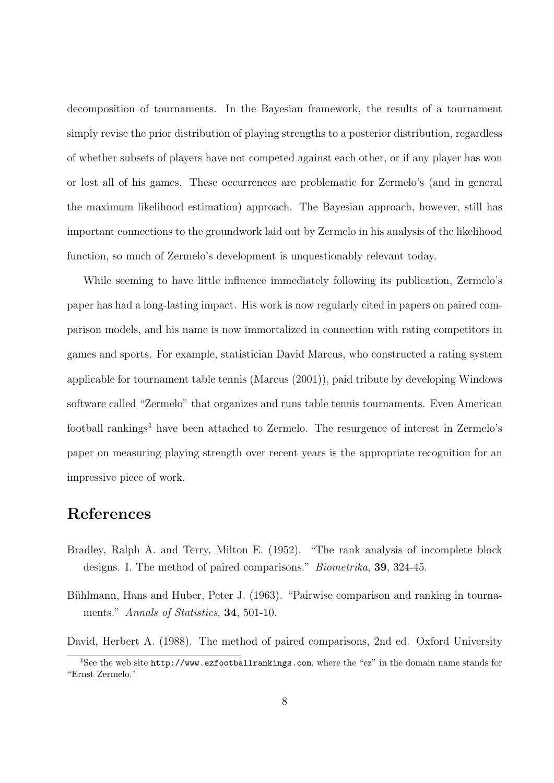decomposition of tournaments. In the Bayesian framework, the results of a tournament simply revise the prior distribution of playing strengths to a posterior distribution, regardless of whether subsets of players have not competed against each other, or if any player has won or lost all of his games. These occurrences are problematic for Zermelo's (and in general the maximum likelihood estimation) approach. The Bayesian approach, however, still has important connections to the groundwork laid out by Zermelo in his analysis of the likelihood function, so much of Zermelo's development is unquestionably relevant today.

While seeming to have little influence immediately following its publication, Zermelo's paper has had a long-lasting impact. His work is now regularly cited in papers on paired comparison models, and his name is now immortalized in connection with rating competitors in games and sports. For example, statistician David Marcus, who constructed a rating system applicable for tournament table tennis (Marcus (2001)), paid tribute by developing Windows software called "Zermelo" that organizes and runs table tennis tournaments. Even American football rankings<sup>4</sup> have been attached to Zermelo. The resurgence of interest in Zermelo's paper on measuring playing strength over recent years is the appropriate recognition for an impressive piece of work.

## References

- Bradley, Ralph A. and Terry, Milton E. (1952). "The rank analysis of incomplete block designs. I. The method of paired comparisons." Biometrika, 39, 324-45.
- Bühlmann, Hans and Huber, Peter J. (1963). "Pairwise comparison and ranking in tournaments." Annals of Statistics, **34**, 501-10.
- David, Herbert A. (1988). The method of paired comparisons, 2nd ed. Oxford University

<sup>4</sup>See the web site http://www.ezfootballrankings.com, where the "ez" in the domain name stands for "Ernst Zermelo."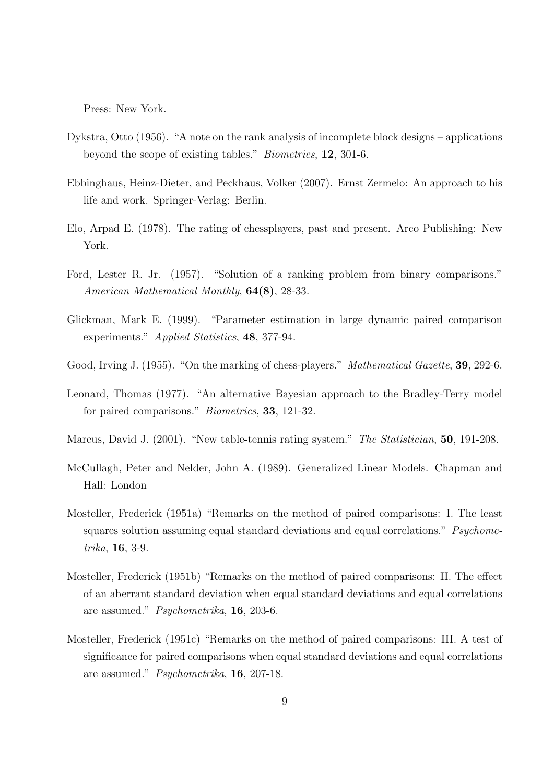Press: New York.

- Dykstra, Otto (1956). "A note on the rank analysis of incomplete block designs applications beyond the scope of existing tables." Biometrics, 12, 301-6.
- Ebbinghaus, Heinz-Dieter, and Peckhaus, Volker (2007). Ernst Zermelo: An approach to his life and work. Springer-Verlag: Berlin.
- Elo, Arpad E. (1978). The rating of chessplayers, past and present. Arco Publishing: New York.
- Ford, Lester R. Jr. (1957). "Solution of a ranking problem from binary comparisons." American Mathematical Monthly, 64(8), 28-33.
- Glickman, Mark E. (1999). "Parameter estimation in large dynamic paired comparison experiments." Applied Statistics, 48, 377-94.
- Good, Irving J. (1955). "On the marking of chess-players." Mathematical Gazette, 39, 292-6.
- Leonard, Thomas (1977). "An alternative Bayesian approach to the Bradley-Terry model for paired comparisons." Biometrics, 33, 121-32.
- Marcus, David J. (2001). "New table-tennis rating system." The Statistician, **50**, 191-208.
- McCullagh, Peter and Nelder, John A. (1989). Generalized Linear Models. Chapman and Hall: London
- Mosteller, Frederick (1951a) "Remarks on the method of paired comparisons: I. The least squares solution assuming equal standard deviations and equal correlations." *Psychome*trika, 16, 3-9.
- Mosteller, Frederick (1951b) "Remarks on the method of paired comparisons: II. The effect of an aberrant standard deviation when equal standard deviations and equal correlations are assumed." Psychometrika, 16, 203-6.
- Mosteller, Frederick (1951c) "Remarks on the method of paired comparisons: III. A test of significance for paired comparisons when equal standard deviations and equal correlations are assumed." Psychometrika, 16, 207-18.